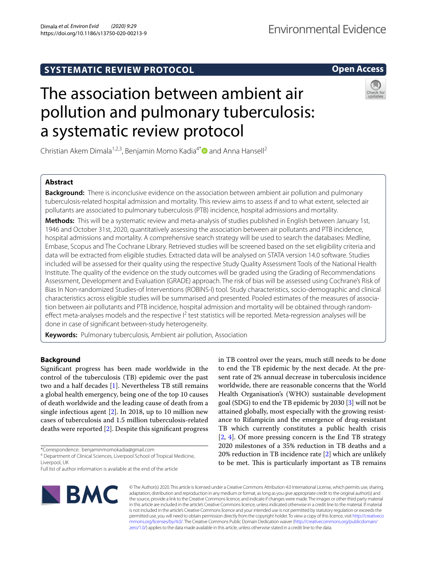# **SYSTEMATIC REVIEW PROTOCOL**

**Open Access**

# The association between ambient air pollution and pulmonary tuberculosis: a systematic review protocol



Christian Akem Dimala<sup>1,2,3</sup>, Benjamin Momo Kadia<sup>4\*</sup> and Anna Hansell<sup>2</sup>

# **Abstract**

**Background:** There is inconclusive evidence on the association between ambient air pollution and pulmonary tuberculosis-related hospital admission and mortality. This review aims to assess if and to what extent, selected air pollutants are associated to pulmonary tuberculosis (PTB) incidence, hospital admissions and mortality.

**Methods:** This will be a systematic review and meta-analysis of studies published in English between January 1st, 1946 and October 31st, 2020, quantitatively assessing the association between air pollutants and PTB incidence, hospital admissions and mortality. A comprehensive search strategy will be used to search the databases: Medline, Embase, Scopus and The Cochrane Library. Retrieved studies will be screened based on the set eligibility criteria and data will be extracted from eligible studies. Extracted data will be analysed on STATA version 14.0 software. Studies included will be assessed for their quality using the respective Study Quality Assessment Tools of the National Health Institute. The quality of the evidence on the study outcomes will be graded using the Grading of Recommendations Assessment, Development and Evaluation (GRADE) approach. The risk of bias will be assessed using Cochrane's Risk of Bias In Non-randomized Studies-of Interventions (ROBINS-I) tool. Study characteristics, socio-demographic and clinical characteristics across eligible studies will be summarised and presented. Pooled estimates of the measures of association between air pollutants and PTB incidence, hospital admission and mortality will be obtained through randomeffect meta-analyses models and the respective <sup>|2</sup> test statistics will be reported. Meta-regression analyses will be done in case of signifcant between-study heterogeneity.

**Keywords:** Pulmonary tuberculosis, Ambient air pollution, Association

# **Background**

Signifcant progress has been made worldwide in the control of the tuberculosis (TB) epidemic over the past two and a half decades [\[1](#page-5-0)]. Nevertheless TB still remains a global health emergency, being one of the top 10 causes of death worldwide and the leading cause of death from a single infectious agent [[2](#page-5-1)]. In 2018, up to 10 million new cases of tuberculosis and 1.5 million tuberculosis-related deaths were reported [\[2](#page-5-1)]. Despite this signifcant progress

\*Correspondence: benjaminmomokadia@gmail.com

<sup>4</sup> Department of Clinical Sciences, Liverpool School of Tropical Medicine, Liverpool, UK

**BMC** 

in TB control over the years, much still needs to be done to end the TB epidemic by the next decade. At the present rate of 2% annual decrease in tuberculosis incidence worldwide, there are reasonable concerns that the World Health Organisation's (WHO) sustainable development goal (SDG) to end the TB epidemic by 2030 [[3\]](#page-5-2) will not be attained globally, most especially with the growing resistance to Rifampicin and the emergence of drug-resistant TB which currently constitutes a public health crisis [[2,](#page-5-1) [4](#page-5-3)]. Of more pressing concern is the End TB strategy 2020 milestones of a 35% reduction in TB deaths and a 20% reduction in TB incidence rate [[2\]](#page-5-1) which are unlikely to be met. This is particularly important as TB remains

© The Author(s) 2020. This article is licensed under a Creative Commons Attribution 4.0 International License, which permits use, sharing, adaptation, distribution and reproduction in any medium or format, as long as you give appropriate credit to the original author(s) and the source, provide a link to the Creative Commons licence, and indicate if changes were made. The images or other third party material in this article are included in the article's Creative Commons licence, unless indicated otherwise in a credit line to the material. If material is not included in the article's Creative Commons licence and your intended use is not permitted by statutory regulation or exceeds the permitted use, you will need to obtain permission directly from the copyright holder. To view a copy of this licence, visit [http://creativeco](http://creativecommons.org/licenses/by/4.0/) [mmons.org/licenses/by/4.0/.](http://creativecommons.org/licenses/by/4.0/) The Creative Commons Public Domain Dedication waiver ([http://creativecommons.org/publicdomain/](http://creativecommons.org/publicdomain/zero/1.0/) [zero/1.0/\)](http://creativecommons.org/publicdomain/zero/1.0/) applies to the data made available in this article, unless otherwise stated in a credit line to the data.

Full list of author information is available at the end of the article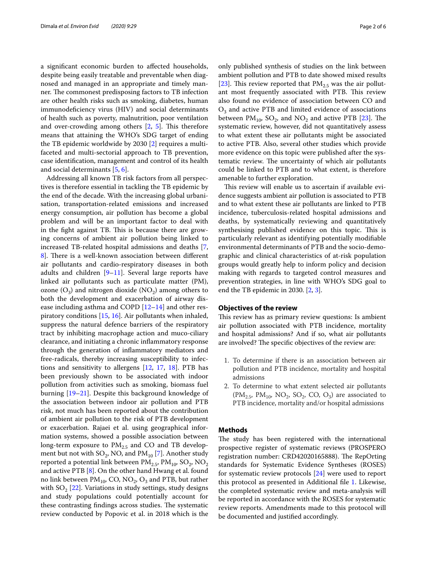a signifcant economic burden to afected households, despite being easily treatable and preventable when diagnosed and managed in an appropriate and timely manner. The commonest predisposing factors to TB infection are other health risks such as smoking, diabetes, human immunodefciency virus (HIV) and social determinants of health such as poverty, malnutrition, poor ventilation and over-crowding among others  $[2, 5]$  $[2, 5]$  $[2, 5]$ . This therefore means that attaining the WHO's SDG target of ending the TB epidemic worldwide by 2030 [\[2\]](#page-5-1) requires a multifaceted and multi-sectorial approach to TB prevention, case identifcation, management and control of its health and social determinants [[5,](#page-5-4) [6](#page-5-5)].

Addressing all known TB risk factors from all perspectives is therefore essential in tackling the TB epidemic by the end of the decade. With the increasing global urbanisation, transportation-related emissions and increased energy consumption, air pollution has become a global problem and will be an important factor to deal with in the fight against TB. This is because there are growing concerns of ambient air pollution being linked to increased TB-related hospital admissions and deaths [\[7](#page-5-6), [8\]](#page-5-7). There is a well-known association between different air pollutants and cardio-respiratory diseases in both adults and children [[9–](#page-5-8)[11](#page-5-9)]. Several large reports have linked air pollutants such as particulate matter (PM), ozone  $(O_3)$  and nitrogen dioxide  $(NO_2)$  among others to both the development and exacerbation of airway disease including asthma and COPD [\[12–](#page-5-10)[14\]](#page-5-11) and other respiratory conditions [\[15,](#page-5-12) [16](#page-5-13)]. Air pollutants when inhaled, suppress the natural defence barriers of the respiratory tract by inhibiting macrophage action and muco-ciliary clearance, and initiating a chronic infammatory response through the generation of infammatory mediators and free-radicals, thereby increasing susceptibility to infections and sensitivity to allergens [\[12](#page-5-10), [17](#page-5-14), [18\]](#page-5-15). PTB has been previously shown to be associated with indoor pollution from activities such as smoking, biomass fuel burning [[19–](#page-5-16)[21](#page-5-17)]. Despite this background knowledge of the association between indoor air pollution and PTB risk, not much has been reported about the contribution of ambient air pollution to the risk of PTB development or exacerbation. Rajaei et al. using geographical information systems, showed a possible association between long-term exposure to  $PM_{2.5}$  and CO and TB development but not with  $SO_2$ , NO, and PM<sub>10</sub> [[7\]](#page-5-6). Another study reported a potential link between  $PM_{2.5}$ ,  $PM_{10}$ ,  $SO_2$ ,  $NO_2$ and active PTB [[8\]](#page-5-7). On the other hand Hwang et al. found no link between  $PM_{10}$ , CO, NO<sub>2</sub>, O<sub>3</sub> and PTB, but rather with  $SO_2$  [\[22\]](#page-5-18). Variations in study settings, study designs and study populations could potentially account for these contrasting findings across studies. The systematic review conducted by Popovic et al. in 2018 which is the only published synthesis of studies on the link between ambient pollution and PTB to date showed mixed results [[23\]](#page-5-19). This review reported that  $PM_{2.5}$  was the air pollutant most frequently associated with PTB. This review also found no evidence of association between CO and  $O<sub>3</sub>$  and active PTB and limited evidence of associations between  $PM_{10}$ , SO<sub>2</sub>, and NO<sub>2</sub> and active PTB [\[23](#page-5-19)]. The systematic review, however, did not quantitatively assess to what extent these air pollutants might be associated to active PTB. Also, several other studies which provide more evidence on this topic were published after the systematic review. The uncertainty of which air pollutants could be linked to PTB and to what extent, is therefore amenable to further exploration.

This review will enable us to ascertain if available evidence suggests ambient air pollution is associated to PTB and to what extent these air pollutants are linked to PTB incidence, tuberculosis-related hospital admissions and deaths, by systematically reviewing and quantitatively synthesising published evidence on this topic. This is particularly relevant as identifying potentially modifable environmental determinants of PTB and the socio-demographic and clinical characteristics of at-risk population groups would greatly help to inform policy and decision making with regards to targeted control measures and prevention strategies, in line with WHO's SDG goal to end the TB epidemic in 2030. [[2,](#page-5-1) [3](#page-5-2)].

# **Objectives of the review**

This review has as primary review questions: Is ambient air pollution associated with PTB incidence, mortality and hospital admissions? And if so, what air pollutants are involved? The specific objectives of the review are:

- 1. To determine if there is an association between air pollution and PTB incidence, mortality and hospital admissions
- 2. To determine to what extent selected air pollutants  $(PM_{2.5}, PM_{10}, NO_2, SO_2, CO, O_3)$  are associated to PTB incidence, mortality and/or hospital admissions

# **Methods**

The study has been registered with the international prospective register of systematic reviews (PROSPERO registration number: CRD42020165888). The RepOrting standards for Systematic Evidence Syntheses (ROSES) for systematic review protocols [\[24](#page-5-20)] were used to report this protocol as presented in Additional fle [1](#page-4-0). Likewise, the completed systematic review and meta-analysis will be reported in accordance with the ROSES for systematic review reports. Amendments made to this protocol will be documented and justifed accordingly.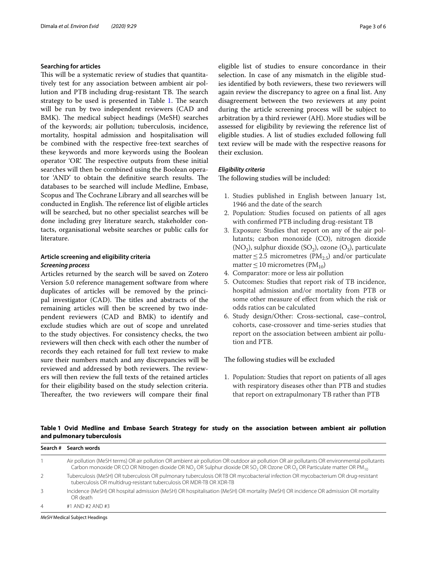# **Searching for articles**

This will be a systematic review of studies that quantitatively test for any association between ambient air pollution and PTB including drug-resistant TB. The search strategy to be used is presented in Table [1.](#page-2-0) The search will be run by two independent reviewers (CAD and BMK). The medical subject headings (MeSH) searches of the keywords; air pollution; tuberculosis, incidence, mortality, hospital admission and hospitalisation will be combined with the respective free-text searches of these keywords and more keywords using the Boolean operator 'OR'. The respective outputs from these initial searches will then be combined using the Boolean operator 'AND' to obtain the definitive search results. The databases to be searched will include Medline, Embase, Scopus and The Cochrane Library and all searches will be conducted in English. The reference list of eligible articles will be searched, but no other specialist searches will be done including grey literature search, stakeholder contacts, organisational website searches or public calls for literature.

# **Article screening and eligibility criteria** *Screening process*

Articles returned by the search will be saved on Zotero Version 5.0 reference management software from where duplicates of articles will be removed by the principal investigator (CAD). The titles and abstracts of the remaining articles will then be screened by two independent reviewers (CAD and BMK) to identify and exclude studies which are out of scope and unrelated to the study objectives. For consistency checks, the two reviewers will then check with each other the number of records they each retained for full text review to make sure their numbers match and any discrepancies will be reviewed and addressed by both reviewers. The reviewers will then review the full texts of the retained articles for their eligibility based on the study selection criteria. Thereafter, the two reviewers will compare their final eligible list of studies to ensure concordance in their selection. In case of any mismatch in the eligible studies identifed by both reviewers, these two reviewers will again review the discrepancy to agree on a fnal list. Any disagreement between the two reviewers at any point during the article screening process will be subject to arbitration by a third reviewer (AH). More studies will be assessed for eligibility by reviewing the reference list of eligible studies. A list of studies excluded following full text review will be made with the respective reasons for their exclusion.

# *Eligibility criteria*

The following studies will be included:

- 1. Studies published in English between January 1st, 1946 and the date of the search
- 2. Population: Studies focused on patients of all ages with confrmed PTB including drug-resistant TB
- 3. Exposure: Studies that report on any of the air pollutants; carbon monoxide (CO), nitrogen dioxide (NO<sub>2</sub>), sulphur dioxide (SO<sub>2</sub>), ozone (O<sub>3</sub>), particulate matter  $\leq$  2.5 micrometres (PM<sub>2.5</sub>) and/or particulate matter  $\leq 10$  micrometres (PM<sub>10</sub>)
- 4. Comparator: more or less air pollution
- 5. Outcomes: Studies that report risk of TB incidence, hospital admission and/or mortality from PTB or some other measure of efect from which the risk or odds ratios can be calculated
- 6. Study design/Other: Cross-sectional, case–control, cohorts, case-crossover and time-series studies that report on the association between ambient air pollution and PTB.

The following studies will be excluded

1. Population: Studies that report on patients of all ages with respiratory diseases other than PTB and studies that report on extrapulmonary TB rather than PTB

# <span id="page-2-0"></span>**Table 1 Ovid Medline and Embase Search Strategy for study on the association between ambient air pollution and pulmonary tuberculosis**

|    | Search # Search words                                                                                                                                                                                                                                                                                                  |
|----|------------------------------------------------------------------------------------------------------------------------------------------------------------------------------------------------------------------------------------------------------------------------------------------------------------------------|
|    | Air pollution (MeSH terms) OR air pollution OR ambient air pollution OR outdoor air pollution OR air pollutants OR environmental pollutants<br>Carbon monoxide OR CO OR Nitrogen dioxide OR NO <sub>2</sub> OR Sulphur dioxide OR SO <sub>2</sub> OR Ozone OR O <sub>3</sub> OR Particulate matter OR PM <sub>10</sub> |
| 2  | Tuberculosis (MeSH) OR tuberculosis OR pulmonary tuberculosis OR TB OR mycobacterial infection OR mycobacterium OR drug-resistant<br>tuberculosis OR multidrug-resistant tuberculosis OR MDR-TB OR XDR-TB                                                                                                              |
| 3. | Incidence (MeSH) OR hospital admission (MeSH) OR hospitalisation (MeSH) OR mortality (MeSH) OR incidence OR admission OR mortality<br>OR death                                                                                                                                                                         |
| 4  | #1 AND #2 AND #3                                                                                                                                                                                                                                                                                                       |

*MeSH* Medical Subject Headings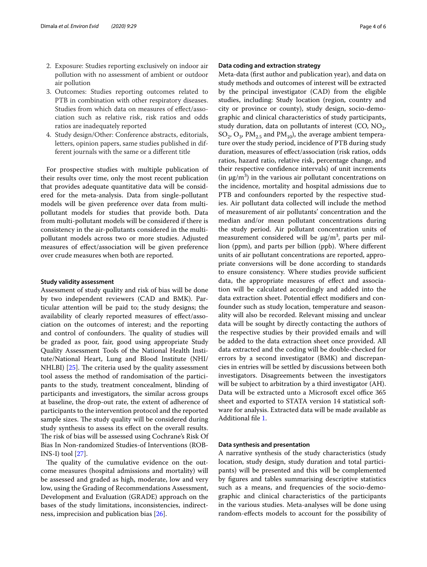- 2. Exposure: Studies reporting exclusively on indoor air pollution with no assessment of ambient or outdoor air pollution
- 3. Outcomes: Studies reporting outcomes related to PTB in combination with other respiratory diseases. Studies from which data on measures of efect/association such as relative risk, risk ratios and odds ratios are inadequately reported
- 4. Study design/Other: Conference abstracts, editorials, letters, opinion papers, same studies published in different journals with the same or a diferent title

For prospective studies with multiple publication of their results over time, only the most recent publication that provides adequate quantitative data will be considered for the meta-analysis. Data from single-pollutant models will be given preference over data from multipollutant models for studies that provide both. Data from multi-pollutant models will be considered if there is consistency in the air-pollutants considered in the multipollutant models across two or more studies. Adjusted measures of efect/association will be given preference over crude measures when both are reported.

## **Study validity assessment**

Assessment of study quality and risk of bias will be done by two independent reviewers (CAD and BMK). Particular attention will be paid to; the study designs; the availability of clearly reported measures of efect/association on the outcomes of interest; and the reporting and control of confounders. The quality of studies will be graded as poor, fair, good using appropriate Study Quality Assessment Tools of the National Health Institute/National Heart, Lung and Blood Institute (NHI/ NHLBI)  $[25]$  $[25]$ . The criteria used by the quality assessment tool assess the method of randomisation of the participants to the study, treatment concealment, blinding of participants and investigators, the similar across groups at baseline, the drop-out rate, the extent of adherence of participants to the intervention protocol and the reported sample sizes. The study quality will be considered during study synthesis to assess its efect on the overall results. The risk of bias will be assessed using Cochrane's Risk Of Bias In Non-randomized Studies-of Interventions (ROB-INS-I) tool [\[27\]](#page-5-22).

The quality of the cumulative evidence on the outcome measures (hospital admissions and mortality) will be assessed and graded as high, moderate, low and very low, using the Grading of Recommendations Assessment, Development and Evaluation (GRADE) approach on the bases of the study limitations, inconsistencies, indirectness, imprecision and publication bias [[26\]](#page-5-23).

# **Data coding and extraction strategy**

Meta-data (frst author and publication year), and data on study methods and outcomes of interest will be extracted by the principal investigator (CAD) from the eligible studies, including: Study location (region, country and city or province or county), study design, socio-demographic and clinical characteristics of study participants, study duration, data on pollutants of interest  $(CO, NO<sub>2</sub>)$ ,  $SO_2$ ,  $O_3$ ,  $PM_{2.5}$  and  $PM_{10}$ ), the average ambient temperature over the study period, incidence of PTB during study duration, measures of efect/association (risk ratios, odds ratios, hazard ratio, relative risk, percentage change, and their respective confdence intervals) of unit increments  $(in \mu g/m^3)$  in the various air pollutant concentrations on the incidence, mortality and hospital admissions due to PTB and confounders reported by the respective studies. Air pollutant data collected will include the method of measurement of air pollutants' concentration and the median and/or mean pollutant concentrations during the study period. Air pollutant concentration units of measurement considered will be  $\mu$ g/m<sup>3</sup>, parts per million (ppm), and parts per billion (ppb). Where diferent units of air pollutant concentrations are reported, appropriate conversions will be done according to standards to ensure consistency. Where studies provide sufficient data, the appropriate measures of efect and association will be calculated accordingly and added into the data extraction sheet. Potential efect modifers and confounder such as study location, temperature and seasonality will also be recorded. Relevant missing and unclear data will be sought by directly contacting the authors of the respective studies by their provided emails and will be added to the data extraction sheet once provided. All data extracted and the coding will be double-checked for errors by a second investigator (BMK) and discrepancies in entries will be settled by discussions between both investigators. Disagreements between the investigators will be subject to arbitration by a third investigator (AH). Data will be extracted unto a Microsoft excel office 365 sheet and exported to STATA version 14 statistical software for analysis. Extracted data will be made available as Additional fle [1](#page-4-0).

# **Data synthesis and presentation**

A narrative synthesis of the study characteristics (study location, study design, study duration and total participants) will be presented and this will be complemented by fgures and tables summarising descriptive statistics such as a means, and frequencies of the socio-demographic and clinical characteristics of the participants in the various studies. Meta-analyses will be done using random-efects models to account for the possibility of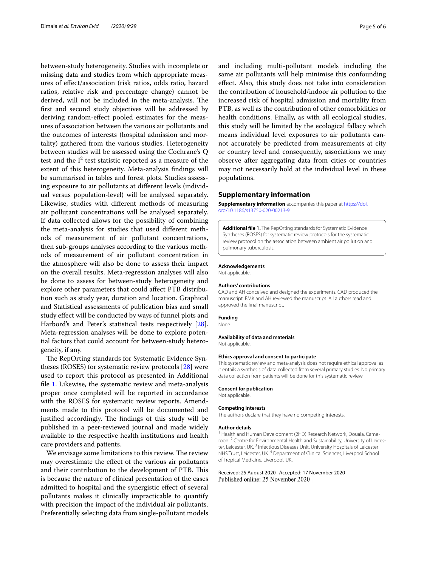between-study heterogeneity. Studies with incomplete or missing data and studies from which appropriate measures of efect/association (risk ratios, odds ratio, hazard ratios, relative risk and percentage change) cannot be derived, will not be included in the meta-analysis. The frst and second study objectives will be addressed by deriving random-efect pooled estimates for the measures of association between the various air pollutants and the outcomes of interests (hospital admission and mortality) gathered from the various studies. Heterogeneity between studies will be assessed using the Cochrane's Q test and the  $I^2$  test statistic reported as a measure of the extent of this heterogeneity. Meta-analysis fndings will be summarised in tables and forest plots. Studies assessing exposure to air pollutants at diferent levels (individual versus population-level) will be analysed separately. Likewise, studies with diferent methods of measuring air pollutant concentrations will be analysed separately. If data collected allows for the possibility of combining the meta-analysis for studies that used diferent methods of measurement of air pollutant concentrations, then sub-groups analyses according to the various methods of measurement of air pollutant concentration in the atmosphere will also be done to assess their impact on the overall results. Meta-regression analyses will also be done to assess for between-study heterogeneity and explore other parameters that could afect PTB distribution such as study year, duration and location. Graphical and Statistical assessments of publication bias and small study efect will be conducted by ways of funnel plots and Harbord's and Peter's statistical tests respectively [\[28](#page-5-24)]. Meta-regression analyses will be done to explore potential factors that could account for between-study heterogeneity, if any.

The RepOrting standards for Systematic Evidence Syntheses (ROSES) for systematic review protocols [[28](#page-5-24)] were used to report this protocol as presented in Additional fle [1](#page-4-0). Likewise, the systematic review and meta-analysis proper once completed will be reported in accordance with the ROSES for systematic review reports. Amendments made to this protocol will be documented and justified accordingly. The findings of this study will be published in a peer-reviewed journal and made widely available to the respective health institutions and health care providers and patients.

We envisage some limitations to this review. The review may overestimate the efect of the various air pollutants and their contribution to the development of PTB. This is because the nature of clinical presentation of the cases admitted to hospital and the synergistic efect of several pollutants makes it clinically impracticable to quantify with precision the impact of the individual air pollutants. Preferentially selecting data from single-pollutant models and including multi-pollutant models including the same air pollutants will help minimise this confounding efect. Also, this study does not take into consideration the contribution of household/indoor air pollution to the increased risk of hospital admission and mortality from PTB, as well as the contribution of other comorbidities or health conditions. Finally, as with all ecological studies, this study will be limited by the ecological fallacy which means individual level exposures to air pollutants cannot accurately be predicted from measurements at city or country level and consequently, associations we may observe after aggregating data from cities or countries may not necessarily hold at the individual level in these populations.

# **Supplementary information**

**Supplementary information** accompanies this paper at [https://doi.](https://doi.org/10.1186/s13750-020-00213-9) [org/10.1186/s13750-020-00213-9](https://doi.org/10.1186/s13750-020-00213-9).

<span id="page-4-0"></span>**Additional fle 1.** The RepOrting standards for Systematic Evidence Syntheses (ROSES) for systematic review protocols for the systematic review protocol on the association between ambient air pollution and pulmonary tuberculosis.

#### **Acknowledgements**

Not applicable.

#### **Authors' contributions**

CAD and AH conceived and designed the experiments. CAD produced the manuscript. BMK and AH reviewed the manuscript. All authors read and approved the fnal manuscript.

#### **Funding**

None.

## **Availability of data and materials**

Not applicable.

#### **Ethics approval and consent to participate**

This systematic review and meta-analysis does not require ethical approval as it entails a synthesis of data collected from several primary studies. No primary data collection from patients will be done for this systematic review.

#### **Consent for publication**

Not applicable.

#### **Competing interests**

The authors declare that they have no competing interests.

#### **Author details**

<sup>1</sup> Health and Human Development (2HD) Research Network, Douala, Cameroon. <sup>2</sup> Centre for Environmental Health and Sustainability, University of Leicester, Leicester, UK.<sup>3</sup> Infectious Diseases Unit, University Hospitals of Leicester NHS Trust, Leicester, UK. 4 Department of Clinical Sciences, Liverpool School of Tropical Medicine, Liverpool, UK.

# Received: 25 August 2020 Accepted: 17 November 2020Published online: 25 November 2020